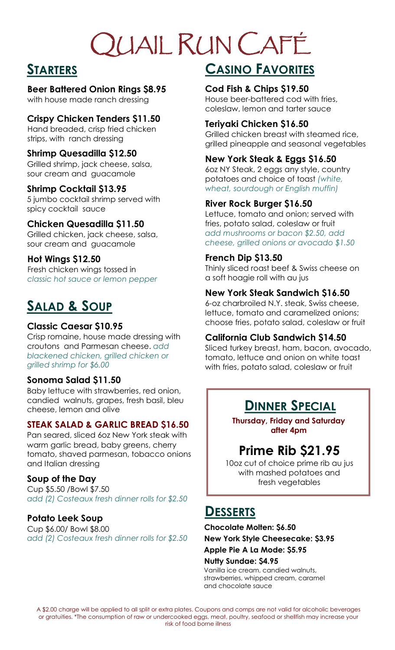# QUAIL RUN CAFÉ

## **STARTERS**

## **Beer Battered Onion Rings \$8.95**

with house made ranch dressing

## **Crispy Chicken Tenders \$11.50**

Hand breaded, crisp fried chicken strips, with ranch dressing

#### **Shrimp Quesadilla \$12.50**

Grilled shrimp, jack cheese, salsa, sour cream and guacamole

#### **Shrimp Cocktail \$13.95**

5 jumbo cocktail shrimp served with spicy cocktail sauce

## **Chicken Quesadilla \$11.50**

Grilled chicken, jack cheese, salsa, sour cream and guacamole

## **Hot Wings \$12.50**

Fresh chicken wings tossed in *classic hot sauce or lemon pepper*

## **SALAD & SOUP**

## **Classic Caesar \$10.95**

Crisp romaine, house made dressing with croutons and Parmesan cheese. *add blackened chicken, grilled chicken or grilled shrimp for \$6.00*

## **Sonoma Salad \$11.50**

Baby lettuce with strawberries, red onion, candied walnuts, grapes, fresh basil, bleu cheese, lemon and olive

## **STEAK SALAD & GARLIC BREAD \$16.50**

Pan seared, sliced 6oz New York steak with warm garlic bread, baby greens, cherry tomato, shaved parmesan, tobacco onions and Italian dressing

## **Soup of the Day**

Cup \$5.50 /Bowl \$7.50 *add (2) Costeaux fresh dinner rolls for \$2.50*

## **Potato Leek Soup**

Cup \$6.00/ Bowl \$8.00 *add (2) Costeaux fresh dinner rolls for \$2.50*

# **CASINO FAVORITES**

#### **Cod Fish & Chips \$19.50**

House beer-battered cod with fries, coleslaw, lemon and tarter sauce

## **Teriyaki Chicken \$16.50**

Grilled chicken breast with steamed rice, grilled pineapple and seasonal vegetables

## **New York Steak & Eggs \$16.50**

6oz NY Steak, 2 eggs any style, country potatoes and choice of toast *(white, wheat, sourdough or English muffin)*

## **River Rock Burger \$16.50**

Lettuce, tomato and onion; served with fries, potato salad, coleslaw or fruit *add mushrooms or bacon \$2.50, add cheese, grilled onions or avocado \$1.50*

## **French Dip \$13.50**

Thinly sliced roast beef & Swiss cheese on a soft hoagie roll with au jus

## **New York Steak Sandwich \$16.50**

6-oz charbroiled N.Y. steak, Swiss cheese, lettuce, tomato and caramelized onions; choose fries, potato salad, coleslaw or fruit

## **California Club Sandwich \$14.50**

Sliced turkey breast, ham, bacon, avocado, tomato, lettuce and onion on white toast with fries, potato salad, coleslaw or fruit

## **DINNER SPECIAL**

**Thursday, Friday and Saturday after 4pm**

## **Prime Rib \$21.95**

10oz cut of choice prime rib au jus with mashed potatoes and fresh vegetables

## **DESSERTS**

**Chocolate Molten: \$6.50**

**New York Style Cheesecake: \$3.95** 

**Apple Pie A La Mode: \$5.95** 

#### **Nutty Sundae: \$4.95**

Vanilla ice cream, candied walnuts, strawberries, whipped cream, caramel and chocolate sauce